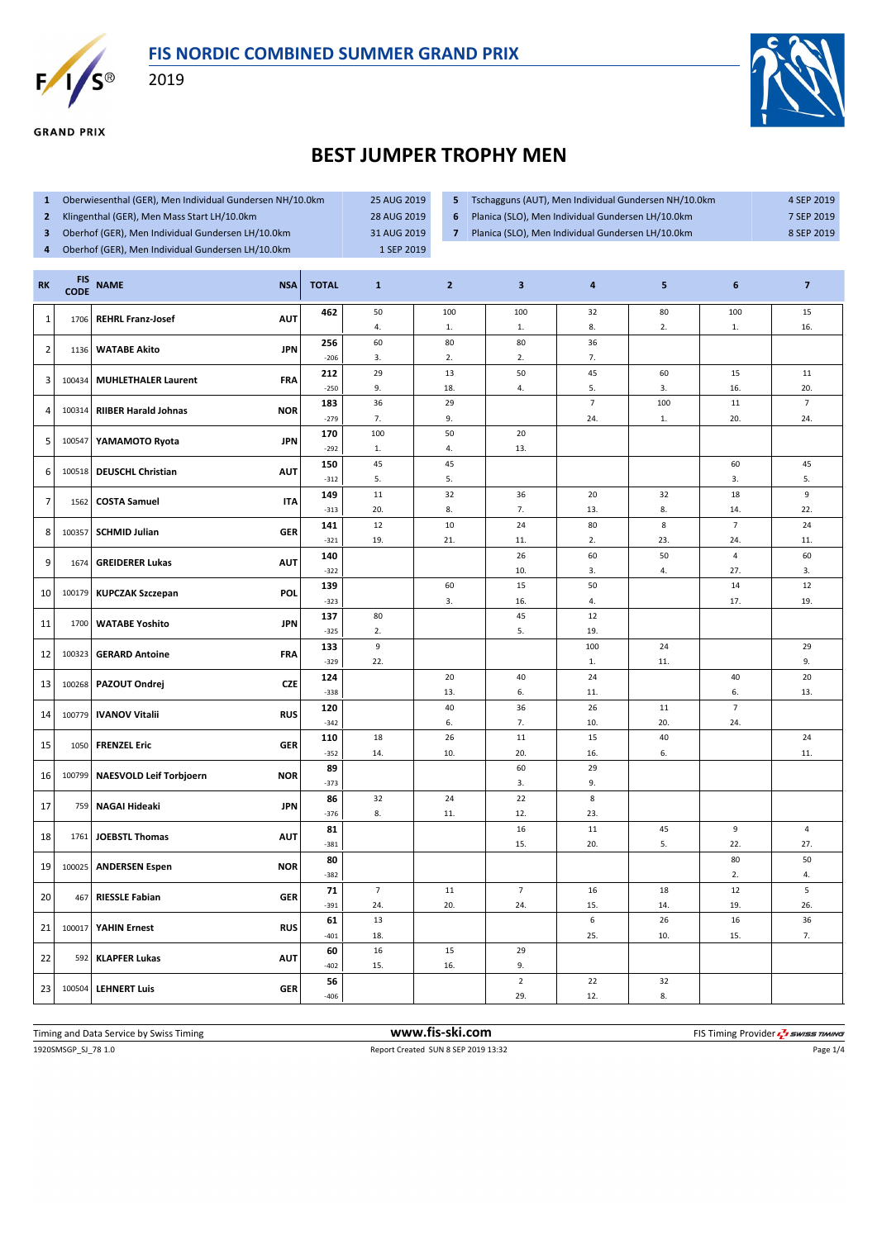



**GRAND PRIX** 

2019



## **BEST JUMPER TROPHY MEN**

- **1** Oberwiesenthal (GER), Men Individual Gundersen NH/10.0km 25 AUG 2019
- **2** Klingenthal (GER), Men Mass Start LH/10.0km 28 AUG 2019
- 
- 
- **5** Tschagguns (AUT), Men Individual Gundersen NH/10.0km 4 SEP 2019
- **6** Planica (SLO), Men Individual Gundersen LH/10.0km 7 SEP 2019
- **3** Oberhof (GER), Men Individual Gundersen LH/10.0km 31 AUG 2019
- **4** Oberhof (GER), Men Individual Gundersen LH/10.0km 1 SEP 2019
- **7** Planica (SLO), Men Individual Gundersen LH/10.0km 8 SEP 2019
- **RK FIS CODE NAME NSA TOTAL <sup>1</sup> <sup>2</sup> <sup>3</sup> <sup>4</sup> <sup>5</sup> <sup>6</sup> <sup>7</sup>** 1 1706 **REHRL Franz-Josef AUT 462** 50 4. 100 1. 100 1. 32 8. 80 2. 100 1. 15 16. 2 1136 **WATABE Akito JPN 256** 60 3. 80 2. 80 2. 36  $-206$  3. 2. 2. 2. 7. 3 100434 **MUHLETHALER Laurent FRA 212** 29 9. 13 18. 50 4. 45 5. 60 3. 15 16. 11  $-250$  9. 18. 18. 4. 5. 3. 16. 16. 4 100314 **RIIBER Harald Johnas NOR 183** 36 7.  $29$ 9. 7 24.  $100$ 1. 11 20. 7  $-279$  7. 9.  $-1$  24. 1. 20. 24. 5 100547 **YAMAMOTO Ryota JPN 170** 100 1. 50 4. 20  $-292$  1. 4. 4. 13. 6 100518 **DEUSCHL Christian AUT 150** 45 5. 45 5. 60 3. 45  $-312$  5. 5. 5. 7 1562 **COSTA Samuel ITA 149** 11 20. 32 8. 36 7. 20 13. 32 8. 18 14. 9  $-313$  20. 8. 7. 1 13. 8. 1 14. 22. 8 100357 **SCHMID Julian GER** 141 12 19. 10 21. 24 11. 80 2. 8 23. 7 24. 24  $-321$  19. 21. 11. 2. 23. 23. 24. 11. 9 1674 **GREIDERER Lukas AUT 140** 26 10. 60 3. 50 4. 4 27. 60  $-322$  10.  $-1$  3. 4. 27. 3. 10 100179 **KUPCZAK Szczepan POL 139** 60 3. 15 16. 50 4. 14 17. 12  $-323$  | 3. | 16. | 4. | 17. | 19. 11 1700 **WATABE Yoshito JPN 137** 80 2. 45 5. 12  $-325$  2.  $19.$ 12 100323 **GERARD Antoine FRA 133** 9 22. 100 1.  $24$ 11. 29  $-329$  22.  $-1$  1. 1. 11.  $-1$ 13 100268 **PAZOUT Ondrej CZE 124** 20 13. 40 6. 24 11. 40 6. 20  $-338$  | 13. | 6. | 11. | 6. | 13. 14 100779 **IVANOV Vitalii RUS 120** 40 6. 36 7. 26 10. 11 20. 7  $-342$  6. 7. 10. 20. 24. 15 1050 **FRENZEL Eric GER 110** 18 14. 26 10. 11 20. 15 16. 40 6. 24 -352 14. 10. 20. 16. 6. 1 16 100799 **NAESVOLD Leif Torbjoern NOR 89** 60 3. 29  $-373$  9. 17 759 **NAGAI Hideaki JPN 86** 32 8. 24 11. 22 12. 8 -376 8. 11. 12. 23. 18 1761 **JOEBSTL Thomas AUT 81** 16 15. 11 20. 45 5.  $\overline{a}$ 22. 4  $-381$  | 15. | 20. | 5. | 22. | 27. 19 100025 **ANDERSEN Espen NOR 80** 80 2. 50  $-382$  and  $-1$  and  $-1$  and  $-1$  and  $-1$  and  $-1$  and  $-1$  and  $-1$  and  $-1$  and  $-1$  and  $-1$  and  $-1$  and  $-1$  and  $-1$  and  $-1$  and  $-1$  and  $-1$  and  $-1$  and  $-1$  and  $-1$  and  $-1$  and  $-1$  and  $-1$  and  $-1$  and  $-1$ 20 467 **RIESSLE Fabian GER 71** 7 24. 11 20. 7 24. 16 15. 18 14. 12 19. 5 -391 24. 20. 24. 15. 14. 19. 26. 21 100017 **YAHIN Ernest RUS 61** 13 18. 6 25. 26 10. 16 15. 36  $-401$  18.  $1$  18.  $7$ . 22 592 **KLAPFER Lukas AUT 60** 16 15. 15 16. 29  $-402$  15. 16. 9. 23 100504 **LEHNERT Luis GER 56** 2 29.  $22$ 12. 32  $-406$  8.

1920SMSGP\_SJ\_78 1.0 Report Created SUN 8 SEP 2019 13:32 Page 1/4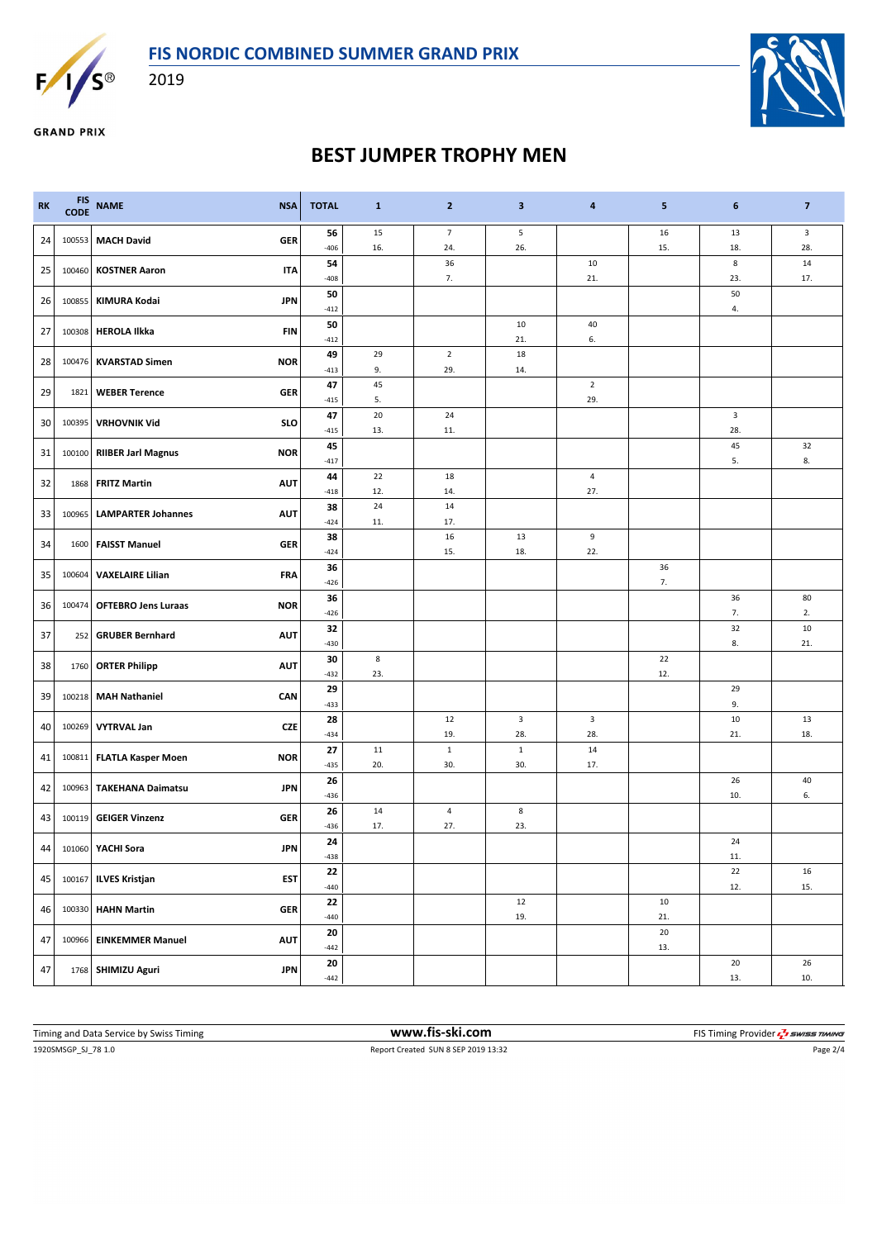

2019



**GRAND PRIX** 

## **BEST JUMPER TROPHY MEN**

| 15<br>$\overline{\mathbf{3}}$<br>56<br>$\overline{7}$<br>5<br>16<br>13<br><b>MACH David</b><br>24<br><b>GER</b><br>100553<br>15.<br>28.<br>$-406$<br>16.<br>24.<br>26.<br>18.<br>8<br>$14\,$<br>54<br>36<br>10<br>25<br><b>KOSTNER Aaron</b><br><b>ITA</b><br>100460<br>7.<br>$-408$<br>21.<br>23.<br>17.<br>50<br>50<br><b>KIMURA Kodai</b><br>26<br>100855<br><b>JPN</b><br>4.<br>$-412$<br>50<br>10<br>40<br>27<br>100308<br><b>HEROLA Ilkka</b><br><b>FIN</b><br>21.<br>6.<br>$-412$<br>$\overline{2}$<br>49<br>29<br>18<br>28<br>100476<br><b>KVARSTAD Simen</b><br><b>NOR</b><br>9.<br>29.<br>14.<br>$-413$<br>47<br>45<br>$\overline{2}$<br>29<br><b>WEBER Terence</b><br><b>GER</b><br>1821<br>5.<br>29.<br>$-415$<br>20<br>47<br>24<br>3<br>30<br><b>VRHOVNIK Vid</b><br>SLO<br>100395<br>13.<br>28.<br>$-415$<br>11.<br>45<br>32<br>45<br><b>RIIBER Jarl Magnus</b><br><b>NOR</b><br>31<br>100100<br>5.<br>8.<br>$-417$<br>22<br>18<br>$\overline{4}$<br>44<br>32<br><b>FRITZ Martin</b><br><b>AUT</b><br>1868<br>12.<br>27.<br>14.<br>$-418$<br>24<br>38<br>14<br>33<br>100965<br><b>LAMPARTER Johannes</b><br><b>AUT</b><br>$-424$<br>11.<br>17.<br>9<br>38<br>16<br>13<br>34<br><b>FAISST Manuel</b><br><b>GER</b><br>1600<br>$-424$<br>15.<br>18.<br>22.<br>36<br>36<br>35<br><b>VAXELAIRE Lilian</b><br>100604<br><b>FRA</b><br>7.<br>$-426$<br>36<br>36<br>80<br><b>NOR</b><br>36<br>100474<br><b>OFTEBRO Jens Luraas</b><br>7.<br>2.<br>$-426$<br>32<br>$10\,$<br>32<br>37<br><b>GRUBER Bernhard</b><br><b>AUT</b><br>252<br>8.<br>21.<br>$-430$<br>8<br>22<br>30<br>38<br><b>ORTER Philipp</b><br><b>AUT</b><br>1760<br>$-432$<br>23.<br>12.<br>29<br>29<br>39<br><b>MAH Nathaniel</b><br>CAN<br>100218<br>9.<br>$-433$<br>$\overline{\mathbf{3}}$<br>10<br>28<br>12<br>3<br>13<br><b>VYTRVAL Jan</b><br><b>CZE</b><br>40<br>100269<br>18.<br>19.<br>28.<br>28.<br>21.<br>$-434$<br>11<br>$\mathbf 1$<br>14<br>27<br>$\mathbf{1}$<br>100811 FLATLA Kasper Moen<br>41<br><b>NOR</b><br>20.<br>30.<br>30.<br>17.<br>$-435$<br>26<br>26<br>40<br>42<br>100963<br><b>TAKEHANA Daimatsu</b><br><b>JPN</b><br>$-436$<br>10.<br>6.<br>8<br>26<br>14<br>4<br><b>GEIGER Vinzenz</b><br><b>GER</b><br>43<br>100119<br>17.<br>27.<br>23.<br>$-436$<br>24<br>24<br>44<br>101060 YACHI Sora<br><b>JPN</b><br>$-438$<br>11.<br>22<br>22<br>16<br>45<br><b>ILVES Kristjan</b><br><b>EST</b><br>100167<br>15.<br>$-440$<br>12.<br>22<br>12<br>10<br><b>HAHN Martin</b><br><b>GER</b><br>46<br>100330<br>19.<br>21.<br>$-440$<br>20<br>20<br><b>AUT</b><br>47<br><b>EINKEMMER Manuel</b><br>100966<br>$-442$<br>13.<br>26<br>20<br>20<br>SHIMIZU Aguri<br>47<br><b>JPN</b><br>1768<br>13.<br>10.<br>$-442$ | <b>RK</b> | <b>FIS</b><br>CODE | <b>NAME</b><br><b>NSA</b> | <b>TOTAL</b> | $\mathbf{1}$ | $\mathbf{2}$ | $\mathbf{3}$ | $\overline{\mathbf{4}}$ | 5 | 6 | $\overline{7}$ |
|-------------------------------------------------------------------------------------------------------------------------------------------------------------------------------------------------------------------------------------------------------------------------------------------------------------------------------------------------------------------------------------------------------------------------------------------------------------------------------------------------------------------------------------------------------------------------------------------------------------------------------------------------------------------------------------------------------------------------------------------------------------------------------------------------------------------------------------------------------------------------------------------------------------------------------------------------------------------------------------------------------------------------------------------------------------------------------------------------------------------------------------------------------------------------------------------------------------------------------------------------------------------------------------------------------------------------------------------------------------------------------------------------------------------------------------------------------------------------------------------------------------------------------------------------------------------------------------------------------------------------------------------------------------------------------------------------------------------------------------------------------------------------------------------------------------------------------------------------------------------------------------------------------------------------------------------------------------------------------------------------------------------------------------------------------------------------------------------------------------------------------------------------------------------------------------------------------------------------------------------------------------------------------------------------------------------------------------------------------------------------------------------------------------------------------------------------------------------------------------------------------------------------------------------------------------------------------------------------------------------------------------------------------------------------------------------------------------|-----------|--------------------|---------------------------|--------------|--------------|--------------|--------------|-------------------------|---|---|----------------|
|                                                                                                                                                                                                                                                                                                                                                                                                                                                                                                                                                                                                                                                                                                                                                                                                                                                                                                                                                                                                                                                                                                                                                                                                                                                                                                                                                                                                                                                                                                                                                                                                                                                                                                                                                                                                                                                                                                                                                                                                                                                                                                                                                                                                                                                                                                                                                                                                                                                                                                                                                                                                                                                                                                             |           |                    |                           |              |              |              |              |                         |   |   |                |
|                                                                                                                                                                                                                                                                                                                                                                                                                                                                                                                                                                                                                                                                                                                                                                                                                                                                                                                                                                                                                                                                                                                                                                                                                                                                                                                                                                                                                                                                                                                                                                                                                                                                                                                                                                                                                                                                                                                                                                                                                                                                                                                                                                                                                                                                                                                                                                                                                                                                                                                                                                                                                                                                                                             |           |                    |                           |              |              |              |              |                         |   |   |                |
|                                                                                                                                                                                                                                                                                                                                                                                                                                                                                                                                                                                                                                                                                                                                                                                                                                                                                                                                                                                                                                                                                                                                                                                                                                                                                                                                                                                                                                                                                                                                                                                                                                                                                                                                                                                                                                                                                                                                                                                                                                                                                                                                                                                                                                                                                                                                                                                                                                                                                                                                                                                                                                                                                                             |           |                    |                           |              |              |              |              |                         |   |   |                |
|                                                                                                                                                                                                                                                                                                                                                                                                                                                                                                                                                                                                                                                                                                                                                                                                                                                                                                                                                                                                                                                                                                                                                                                                                                                                                                                                                                                                                                                                                                                                                                                                                                                                                                                                                                                                                                                                                                                                                                                                                                                                                                                                                                                                                                                                                                                                                                                                                                                                                                                                                                                                                                                                                                             |           |                    |                           |              |              |              |              |                         |   |   |                |
|                                                                                                                                                                                                                                                                                                                                                                                                                                                                                                                                                                                                                                                                                                                                                                                                                                                                                                                                                                                                                                                                                                                                                                                                                                                                                                                                                                                                                                                                                                                                                                                                                                                                                                                                                                                                                                                                                                                                                                                                                                                                                                                                                                                                                                                                                                                                                                                                                                                                                                                                                                                                                                                                                                             |           |                    |                           |              |              |              |              |                         |   |   |                |
|                                                                                                                                                                                                                                                                                                                                                                                                                                                                                                                                                                                                                                                                                                                                                                                                                                                                                                                                                                                                                                                                                                                                                                                                                                                                                                                                                                                                                                                                                                                                                                                                                                                                                                                                                                                                                                                                                                                                                                                                                                                                                                                                                                                                                                                                                                                                                                                                                                                                                                                                                                                                                                                                                                             |           |                    |                           |              |              |              |              |                         |   |   |                |
|                                                                                                                                                                                                                                                                                                                                                                                                                                                                                                                                                                                                                                                                                                                                                                                                                                                                                                                                                                                                                                                                                                                                                                                                                                                                                                                                                                                                                                                                                                                                                                                                                                                                                                                                                                                                                                                                                                                                                                                                                                                                                                                                                                                                                                                                                                                                                                                                                                                                                                                                                                                                                                                                                                             |           |                    |                           |              |              |              |              |                         |   |   |                |
|                                                                                                                                                                                                                                                                                                                                                                                                                                                                                                                                                                                                                                                                                                                                                                                                                                                                                                                                                                                                                                                                                                                                                                                                                                                                                                                                                                                                                                                                                                                                                                                                                                                                                                                                                                                                                                                                                                                                                                                                                                                                                                                                                                                                                                                                                                                                                                                                                                                                                                                                                                                                                                                                                                             |           |                    |                           |              |              |              |              |                         |   |   |                |
|                                                                                                                                                                                                                                                                                                                                                                                                                                                                                                                                                                                                                                                                                                                                                                                                                                                                                                                                                                                                                                                                                                                                                                                                                                                                                                                                                                                                                                                                                                                                                                                                                                                                                                                                                                                                                                                                                                                                                                                                                                                                                                                                                                                                                                                                                                                                                                                                                                                                                                                                                                                                                                                                                                             |           |                    |                           |              |              |              |              |                         |   |   |                |
|                                                                                                                                                                                                                                                                                                                                                                                                                                                                                                                                                                                                                                                                                                                                                                                                                                                                                                                                                                                                                                                                                                                                                                                                                                                                                                                                                                                                                                                                                                                                                                                                                                                                                                                                                                                                                                                                                                                                                                                                                                                                                                                                                                                                                                                                                                                                                                                                                                                                                                                                                                                                                                                                                                             |           |                    |                           |              |              |              |              |                         |   |   |                |
|                                                                                                                                                                                                                                                                                                                                                                                                                                                                                                                                                                                                                                                                                                                                                                                                                                                                                                                                                                                                                                                                                                                                                                                                                                                                                                                                                                                                                                                                                                                                                                                                                                                                                                                                                                                                                                                                                                                                                                                                                                                                                                                                                                                                                                                                                                                                                                                                                                                                                                                                                                                                                                                                                                             |           |                    |                           |              |              |              |              |                         |   |   |                |
|                                                                                                                                                                                                                                                                                                                                                                                                                                                                                                                                                                                                                                                                                                                                                                                                                                                                                                                                                                                                                                                                                                                                                                                                                                                                                                                                                                                                                                                                                                                                                                                                                                                                                                                                                                                                                                                                                                                                                                                                                                                                                                                                                                                                                                                                                                                                                                                                                                                                                                                                                                                                                                                                                                             |           |                    |                           |              |              |              |              |                         |   |   |                |
|                                                                                                                                                                                                                                                                                                                                                                                                                                                                                                                                                                                                                                                                                                                                                                                                                                                                                                                                                                                                                                                                                                                                                                                                                                                                                                                                                                                                                                                                                                                                                                                                                                                                                                                                                                                                                                                                                                                                                                                                                                                                                                                                                                                                                                                                                                                                                                                                                                                                                                                                                                                                                                                                                                             |           |                    |                           |              |              |              |              |                         |   |   |                |
|                                                                                                                                                                                                                                                                                                                                                                                                                                                                                                                                                                                                                                                                                                                                                                                                                                                                                                                                                                                                                                                                                                                                                                                                                                                                                                                                                                                                                                                                                                                                                                                                                                                                                                                                                                                                                                                                                                                                                                                                                                                                                                                                                                                                                                                                                                                                                                                                                                                                                                                                                                                                                                                                                                             |           |                    |                           |              |              |              |              |                         |   |   |                |
|                                                                                                                                                                                                                                                                                                                                                                                                                                                                                                                                                                                                                                                                                                                                                                                                                                                                                                                                                                                                                                                                                                                                                                                                                                                                                                                                                                                                                                                                                                                                                                                                                                                                                                                                                                                                                                                                                                                                                                                                                                                                                                                                                                                                                                                                                                                                                                                                                                                                                                                                                                                                                                                                                                             |           |                    |                           |              |              |              |              |                         |   |   |                |
|                                                                                                                                                                                                                                                                                                                                                                                                                                                                                                                                                                                                                                                                                                                                                                                                                                                                                                                                                                                                                                                                                                                                                                                                                                                                                                                                                                                                                                                                                                                                                                                                                                                                                                                                                                                                                                                                                                                                                                                                                                                                                                                                                                                                                                                                                                                                                                                                                                                                                                                                                                                                                                                                                                             |           |                    |                           |              |              |              |              |                         |   |   |                |
|                                                                                                                                                                                                                                                                                                                                                                                                                                                                                                                                                                                                                                                                                                                                                                                                                                                                                                                                                                                                                                                                                                                                                                                                                                                                                                                                                                                                                                                                                                                                                                                                                                                                                                                                                                                                                                                                                                                                                                                                                                                                                                                                                                                                                                                                                                                                                                                                                                                                                                                                                                                                                                                                                                             |           |                    |                           |              |              |              |              |                         |   |   |                |
|                                                                                                                                                                                                                                                                                                                                                                                                                                                                                                                                                                                                                                                                                                                                                                                                                                                                                                                                                                                                                                                                                                                                                                                                                                                                                                                                                                                                                                                                                                                                                                                                                                                                                                                                                                                                                                                                                                                                                                                                                                                                                                                                                                                                                                                                                                                                                                                                                                                                                                                                                                                                                                                                                                             |           |                    |                           |              |              |              |              |                         |   |   |                |
|                                                                                                                                                                                                                                                                                                                                                                                                                                                                                                                                                                                                                                                                                                                                                                                                                                                                                                                                                                                                                                                                                                                                                                                                                                                                                                                                                                                                                                                                                                                                                                                                                                                                                                                                                                                                                                                                                                                                                                                                                                                                                                                                                                                                                                                                                                                                                                                                                                                                                                                                                                                                                                                                                                             |           |                    |                           |              |              |              |              |                         |   |   |                |
|                                                                                                                                                                                                                                                                                                                                                                                                                                                                                                                                                                                                                                                                                                                                                                                                                                                                                                                                                                                                                                                                                                                                                                                                                                                                                                                                                                                                                                                                                                                                                                                                                                                                                                                                                                                                                                                                                                                                                                                                                                                                                                                                                                                                                                                                                                                                                                                                                                                                                                                                                                                                                                                                                                             |           |                    |                           |              |              |              |              |                         |   |   |                |
|                                                                                                                                                                                                                                                                                                                                                                                                                                                                                                                                                                                                                                                                                                                                                                                                                                                                                                                                                                                                                                                                                                                                                                                                                                                                                                                                                                                                                                                                                                                                                                                                                                                                                                                                                                                                                                                                                                                                                                                                                                                                                                                                                                                                                                                                                                                                                                                                                                                                                                                                                                                                                                                                                                             |           |                    |                           |              |              |              |              |                         |   |   |                |
|                                                                                                                                                                                                                                                                                                                                                                                                                                                                                                                                                                                                                                                                                                                                                                                                                                                                                                                                                                                                                                                                                                                                                                                                                                                                                                                                                                                                                                                                                                                                                                                                                                                                                                                                                                                                                                                                                                                                                                                                                                                                                                                                                                                                                                                                                                                                                                                                                                                                                                                                                                                                                                                                                                             |           |                    |                           |              |              |              |              |                         |   |   |                |
|                                                                                                                                                                                                                                                                                                                                                                                                                                                                                                                                                                                                                                                                                                                                                                                                                                                                                                                                                                                                                                                                                                                                                                                                                                                                                                                                                                                                                                                                                                                                                                                                                                                                                                                                                                                                                                                                                                                                                                                                                                                                                                                                                                                                                                                                                                                                                                                                                                                                                                                                                                                                                                                                                                             |           |                    |                           |              |              |              |              |                         |   |   |                |
|                                                                                                                                                                                                                                                                                                                                                                                                                                                                                                                                                                                                                                                                                                                                                                                                                                                                                                                                                                                                                                                                                                                                                                                                                                                                                                                                                                                                                                                                                                                                                                                                                                                                                                                                                                                                                                                                                                                                                                                                                                                                                                                                                                                                                                                                                                                                                                                                                                                                                                                                                                                                                                                                                                             |           |                    |                           |              |              |              |              |                         |   |   |                |
|                                                                                                                                                                                                                                                                                                                                                                                                                                                                                                                                                                                                                                                                                                                                                                                                                                                                                                                                                                                                                                                                                                                                                                                                                                                                                                                                                                                                                                                                                                                                                                                                                                                                                                                                                                                                                                                                                                                                                                                                                                                                                                                                                                                                                                                                                                                                                                                                                                                                                                                                                                                                                                                                                                             |           |                    |                           |              |              |              |              |                         |   |   |                |
|                                                                                                                                                                                                                                                                                                                                                                                                                                                                                                                                                                                                                                                                                                                                                                                                                                                                                                                                                                                                                                                                                                                                                                                                                                                                                                                                                                                                                                                                                                                                                                                                                                                                                                                                                                                                                                                                                                                                                                                                                                                                                                                                                                                                                                                                                                                                                                                                                                                                                                                                                                                                                                                                                                             |           |                    |                           |              |              |              |              |                         |   |   |                |
|                                                                                                                                                                                                                                                                                                                                                                                                                                                                                                                                                                                                                                                                                                                                                                                                                                                                                                                                                                                                                                                                                                                                                                                                                                                                                                                                                                                                                                                                                                                                                                                                                                                                                                                                                                                                                                                                                                                                                                                                                                                                                                                                                                                                                                                                                                                                                                                                                                                                                                                                                                                                                                                                                                             |           |                    |                           |              |              |              |              |                         |   |   |                |
|                                                                                                                                                                                                                                                                                                                                                                                                                                                                                                                                                                                                                                                                                                                                                                                                                                                                                                                                                                                                                                                                                                                                                                                                                                                                                                                                                                                                                                                                                                                                                                                                                                                                                                                                                                                                                                                                                                                                                                                                                                                                                                                                                                                                                                                                                                                                                                                                                                                                                                                                                                                                                                                                                                             |           |                    |                           |              |              |              |              |                         |   |   |                |
|                                                                                                                                                                                                                                                                                                                                                                                                                                                                                                                                                                                                                                                                                                                                                                                                                                                                                                                                                                                                                                                                                                                                                                                                                                                                                                                                                                                                                                                                                                                                                                                                                                                                                                                                                                                                                                                                                                                                                                                                                                                                                                                                                                                                                                                                                                                                                                                                                                                                                                                                                                                                                                                                                                             |           |                    |                           |              |              |              |              |                         |   |   |                |
|                                                                                                                                                                                                                                                                                                                                                                                                                                                                                                                                                                                                                                                                                                                                                                                                                                                                                                                                                                                                                                                                                                                                                                                                                                                                                                                                                                                                                                                                                                                                                                                                                                                                                                                                                                                                                                                                                                                                                                                                                                                                                                                                                                                                                                                                                                                                                                                                                                                                                                                                                                                                                                                                                                             |           |                    |                           |              |              |              |              |                         |   |   |                |
|                                                                                                                                                                                                                                                                                                                                                                                                                                                                                                                                                                                                                                                                                                                                                                                                                                                                                                                                                                                                                                                                                                                                                                                                                                                                                                                                                                                                                                                                                                                                                                                                                                                                                                                                                                                                                                                                                                                                                                                                                                                                                                                                                                                                                                                                                                                                                                                                                                                                                                                                                                                                                                                                                                             |           |                    |                           |              |              |              |              |                         |   |   |                |
|                                                                                                                                                                                                                                                                                                                                                                                                                                                                                                                                                                                                                                                                                                                                                                                                                                                                                                                                                                                                                                                                                                                                                                                                                                                                                                                                                                                                                                                                                                                                                                                                                                                                                                                                                                                                                                                                                                                                                                                                                                                                                                                                                                                                                                                                                                                                                                                                                                                                                                                                                                                                                                                                                                             |           |                    |                           |              |              |              |              |                         |   |   |                |
|                                                                                                                                                                                                                                                                                                                                                                                                                                                                                                                                                                                                                                                                                                                                                                                                                                                                                                                                                                                                                                                                                                                                                                                                                                                                                                                                                                                                                                                                                                                                                                                                                                                                                                                                                                                                                                                                                                                                                                                                                                                                                                                                                                                                                                                                                                                                                                                                                                                                                                                                                                                                                                                                                                             |           |                    |                           |              |              |              |              |                         |   |   |                |
|                                                                                                                                                                                                                                                                                                                                                                                                                                                                                                                                                                                                                                                                                                                                                                                                                                                                                                                                                                                                                                                                                                                                                                                                                                                                                                                                                                                                                                                                                                                                                                                                                                                                                                                                                                                                                                                                                                                                                                                                                                                                                                                                                                                                                                                                                                                                                                                                                                                                                                                                                                                                                                                                                                             |           |                    |                           |              |              |              |              |                         |   |   |                |
|                                                                                                                                                                                                                                                                                                                                                                                                                                                                                                                                                                                                                                                                                                                                                                                                                                                                                                                                                                                                                                                                                                                                                                                                                                                                                                                                                                                                                                                                                                                                                                                                                                                                                                                                                                                                                                                                                                                                                                                                                                                                                                                                                                                                                                                                                                                                                                                                                                                                                                                                                                                                                                                                                                             |           |                    |                           |              |              |              |              |                         |   |   |                |
|                                                                                                                                                                                                                                                                                                                                                                                                                                                                                                                                                                                                                                                                                                                                                                                                                                                                                                                                                                                                                                                                                                                                                                                                                                                                                                                                                                                                                                                                                                                                                                                                                                                                                                                                                                                                                                                                                                                                                                                                                                                                                                                                                                                                                                                                                                                                                                                                                                                                                                                                                                                                                                                                                                             |           |                    |                           |              |              |              |              |                         |   |   |                |
|                                                                                                                                                                                                                                                                                                                                                                                                                                                                                                                                                                                                                                                                                                                                                                                                                                                                                                                                                                                                                                                                                                                                                                                                                                                                                                                                                                                                                                                                                                                                                                                                                                                                                                                                                                                                                                                                                                                                                                                                                                                                                                                                                                                                                                                                                                                                                                                                                                                                                                                                                                                                                                                                                                             |           |                    |                           |              |              |              |              |                         |   |   |                |
|                                                                                                                                                                                                                                                                                                                                                                                                                                                                                                                                                                                                                                                                                                                                                                                                                                                                                                                                                                                                                                                                                                                                                                                                                                                                                                                                                                                                                                                                                                                                                                                                                                                                                                                                                                                                                                                                                                                                                                                                                                                                                                                                                                                                                                                                                                                                                                                                                                                                                                                                                                                                                                                                                                             |           |                    |                           |              |              |              |              |                         |   |   |                |
|                                                                                                                                                                                                                                                                                                                                                                                                                                                                                                                                                                                                                                                                                                                                                                                                                                                                                                                                                                                                                                                                                                                                                                                                                                                                                                                                                                                                                                                                                                                                                                                                                                                                                                                                                                                                                                                                                                                                                                                                                                                                                                                                                                                                                                                                                                                                                                                                                                                                                                                                                                                                                                                                                                             |           |                    |                           |              |              |              |              |                         |   |   |                |
|                                                                                                                                                                                                                                                                                                                                                                                                                                                                                                                                                                                                                                                                                                                                                                                                                                                                                                                                                                                                                                                                                                                                                                                                                                                                                                                                                                                                                                                                                                                                                                                                                                                                                                                                                                                                                                                                                                                                                                                                                                                                                                                                                                                                                                                                                                                                                                                                                                                                                                                                                                                                                                                                                                             |           |                    |                           |              |              |              |              |                         |   |   |                |

1920SMSGP\_SJ\_78 1.0 Report Created SUN 8 SEP 2019 13:32 Page 2/4 Timing and Data Service by Swiss Timing **WWW.fis-Ski.com WWW.fis-Ski.com** FIS Timing Provider  $\frac{7}{2}$  SWISS TIMING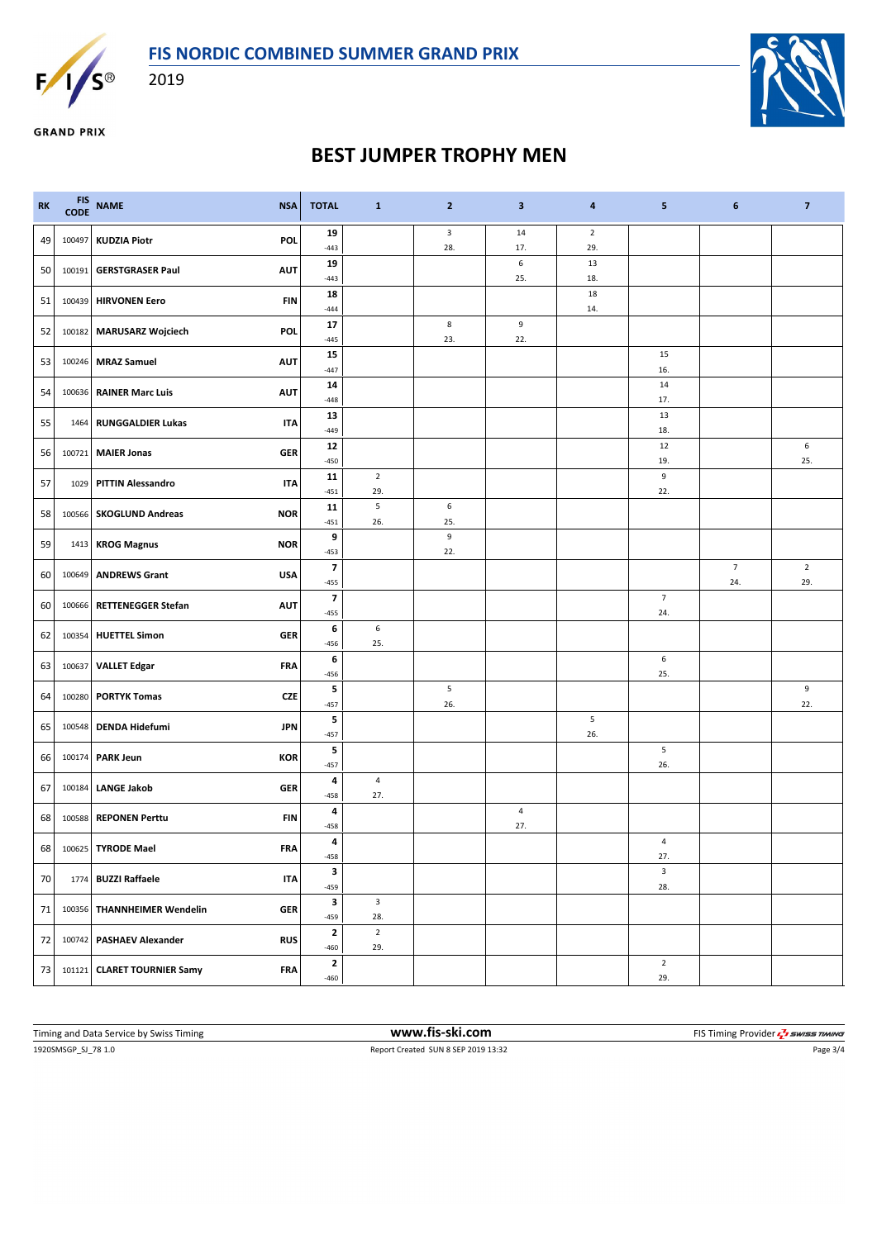

2019





**GRAND PRIX** 

## **BEST JUMPER TROPHY MEN**

| <b>RK</b>       | <b>FIS</b><br><b>CODE</b> | <b>NAME</b>                 | <b>NSA</b> | <b>TOTAL</b>                       | $\mathbf{1}$                   | $\mathbf{2}$            | $\overline{\mathbf{3}}$ | 4                     | 5                     | 6                     | $\overline{7}$        |
|-----------------|---------------------------|-----------------------------|------------|------------------------------------|--------------------------------|-------------------------|-------------------------|-----------------------|-----------------------|-----------------------|-----------------------|
| 49              | 100497                    | <b>KUDZIA Piotr</b>         | POL        | 19<br>$-443$                       |                                | 3<br>28.                | 14<br>17.               | $\overline{2}$<br>29. |                       |                       |                       |
| 50 <sub>1</sub> | 100191                    | <b>GERSTGRASER Paul</b>     | <b>AUT</b> | 19<br>$-443$                       |                                |                         | $\,6\,$<br>25.          | 13<br>18.             |                       |                       |                       |
| 51              | 100439                    | <b>HIRVONEN Eero</b>        | FIN        | 18<br>$-444$                       |                                |                         |                         | 18<br>14.             |                       |                       |                       |
| 52              | 100182                    | <b>MARUSARZ Wojciech</b>    | <b>POL</b> | 17<br>$-445$                       |                                | $\bf 8$<br>23.          | 9<br>22.                |                       |                       |                       |                       |
| 53              | 100246                    | <b>MRAZ Samuel</b>          | <b>AUT</b> | 15                                 |                                |                         |                         |                       | 15                    |                       |                       |
| 54              | 100636                    | <b>RAINER Marc Luis</b>     | <b>AUT</b> | $-447$<br>${\bf 14}$               |                                |                         |                         |                       | 16.<br>14             |                       |                       |
| 55              | 1464                      | <b>RUNGGALDIER Lukas</b>    | <b>ITA</b> | $-448$<br>13                       |                                |                         |                         |                       | 17.<br>13             |                       |                       |
| 56              |                           | 100721 MAIER Jonas          | <b>GER</b> | $-449$<br>12                       |                                |                         |                         |                       | 18.<br>12             |                       | 6                     |
| 57              | 1029                      | <b>PITTIN Alessandro</b>    | <b>ITA</b> | $-450$<br>11                       | $\overline{2}$                 |                         |                         |                       | 19.<br>9              |                       | 25.                   |
|                 |                           |                             |            | $-451$<br>11                       | 29.<br>$\sf 5$                 | 6                       |                         |                       | 22.                   |                       |                       |
| 58              | 100566                    | <b>SKOGLUND Andreas</b>     | <b>NOR</b> | $-451$                             | 26.                            | 25.                     |                         |                       |                       |                       |                       |
| 59              |                           | 1413 KROG Magnus            | <b>NOR</b> | 9<br>$-453$                        |                                | $\boldsymbol{9}$<br>22. |                         |                       |                       |                       |                       |
| 60              | 100649                    | <b>ANDREWS Grant</b>        | <b>USA</b> | 7<br>$-455$                        |                                |                         |                         |                       |                       | $\overline{7}$<br>24. | $\overline{2}$<br>29. |
| 60              | 100666                    | <b>RETTENEGGER Stefan</b>   | <b>AUT</b> | $\overline{\phantom{a}}$<br>$-455$ |                                |                         |                         |                       | $\overline{7}$<br>24. |                       |                       |
| 62              | 100354                    | <b>HUETTEL Simon</b>        | <b>GER</b> | 6<br>$-456$                        | 6<br>25.                       |                         |                         |                       |                       |                       |                       |
| 63              | 100637                    | <b>VALLET Edgar</b>         | FRA        | 6                                  |                                |                         |                         |                       | 6<br>25.              |                       |                       |
| 64              | 100280                    | <b>PORTYK Tomas</b>         | <b>CZE</b> | $-456$<br>5                        |                                | 5                       |                         |                       |                       |                       | 9                     |
| 65              | 100548                    | <b>DENDA Hidefumi</b>       | <b>JPN</b> | $-457$<br>5                        |                                | 26.                     |                         | $\sqrt{5}$            |                       |                       | 22.                   |
| 66              | 100174                    | <b>PARK Jeun</b>            | <b>KOR</b> | $-457$<br>5                        |                                |                         |                         | 26.                   | 5                     |                       |                       |
|                 |                           |                             |            | $-457$<br>4                        | $\sqrt{4}$                     |                         |                         |                       | 26.                   |                       |                       |
| 67              | 100184                    | <b>LANGE Jakob</b>          | <b>GER</b> | $-458$<br>4                        | 27.                            |                         | $\overline{4}$          |                       |                       |                       |                       |
| 68              | 100588                    | <b>REPONEN Perttu</b>       | FIN        | $-458$                             |                                |                         | 27.                     |                       |                       |                       |                       |
| 68              |                           | 100625 TYRODE Mael          | <b>FRA</b> | 4<br>$-458$                        |                                |                         |                         |                       | 4<br>27.              |                       |                       |
| 70              |                           | 1774 BUZZI Raffaele         | <b>ITA</b> | 3<br>$-459$                        |                                |                         |                         |                       | $\mathsf 3$<br>28.    |                       |                       |
| 71              | 100356                    | <b>THANNHEIMER Wendelin</b> | <b>GER</b> | $\overline{\mathbf{3}}$<br>$-459$  | $\overline{\mathbf{3}}$<br>28. |                         |                         |                       |                       |                       |                       |
| 72              |                           | 100742 PASHAEV Alexander    | <b>RUS</b> | $\mathbf{2}$<br>$-460$             | $\mathbf 2$<br>29.             |                         |                         |                       |                       |                       |                       |
| 73              |                           | 101121 CLARET TOURNIER Samy | <b>FRA</b> | $\mathbf{2}$<br>$-460$             |                                |                         |                         |                       | $\overline{2}$<br>29. |                       |                       |

1920SMSGP\_SJ\_78 1.0 Report Created SUN 8 SEP 2019 13:32 Page 3/4 Timing and Data Service by Swiss Timing **WWW.fis-Ski.com WWW.fis-Ski.com** FIS Timing Provider  $\frac{7}{2}$  SWISS TIMING